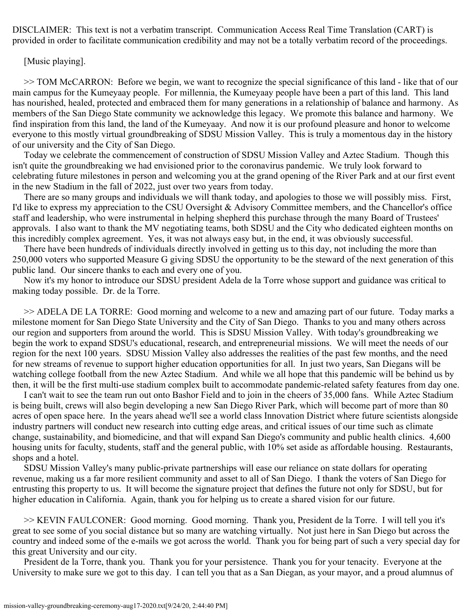DISCLAIMER: This text is not a verbatim transcript. Communication Access Real Time Translation (CART) is provided in order to facilitate communication credibility and may not be a totally verbatim record of the proceedings.

## [Music playing].

>> TOM McCARRON: Before we begin, we want to recognize the special significance of this land - like that of our main campus for the Kumeyaay people. For millennia, the Kumeyaay people have been a part of this land. This land has nourished, healed, protected and embraced them for many generations in a relationship of balance and harmony. As members of the San Diego State community we acknowledge this legacy. We promote this balance and harmony. We find inspiration from this land, the land of the Kumeyaay. And now it is our profound pleasure and honor to welcome everyone to this mostly virtual groundbreaking of SDSU Mission Valley. This is truly a momentous day in the history of our university and the City of San Diego.

Today we celebrate the commencement of construction of SDSU Mission Valley and Aztec Stadium. Though this isn't quite the groundbreaking we had envisioned prior to the coronavirus pandemic. We truly look forward to celebrating future milestones in person and welcoming you at the grand opening of the River Park and at our first event in the new Stadium in the fall of 2022, just over two years from today.

 There are so many groups and individuals we will thank today, and apologies to those we will possibly miss. First, I'd like to express my appreciation to the CSU Oversight & Advisory Committee members, and the Chancellor's office staff and leadership, who were instrumental in helping shepherd this purchase through the many Board of Trustees' approvals. I also want to thank the MV negotiating teams, both SDSU and the City who dedicated eighteen months on this incredibly complex agreement. Yes, it was not always easy but, in the end, it was obviously successful.

There have been hundreds of individuals directly involved in getting us to this day, not including the more than 250,000 voters who supported Measure G giving SDSU the opportunity to be the steward of the next generation of this public land. Our sincere thanks to each and every one of you.

 Now it's my honor to introduce our SDSU president Adela de la Torre whose support and guidance was critical to making today possible. Dr. de la Torre.

 then, it will be the first multi-use stadium complex built to accommodate pandemic-related safety features from day one. >> ADELA DE LA TORRE: Good morning and welcome to a new and amazing part of our future. Today marks a milestone moment for San Diego State University and the City of San Diego. Thanks to you and many others across our region and supporters from around the world. This is SDSU Mission Valley. With today's groundbreaking we begin the work to expand SDSU's educational, research, and entrepreneurial missions. We will meet the needs of our region for the next 100 years. SDSU Mission Valley also addresses the realities of the past few months, and the need for new streams of revenue to support higher education opportunities for all. In just two years, San Diegans will be watching college football from the new Aztec Stadium. And while we all hope that this pandemic will be behind us by

 I can't wait to see the team run out onto Bashor Field and to join in the cheers of 35,000 fans. While Aztec Stadium is being built, crews will also begin developing a new San Diego River Park, which will become part of more than 80 acres of open space here. In the years ahead we'll see a world class Innovation District where future scientists alongside industry partners will conduct new research into cutting edge areas, and critical issues of our time such as climate change, sustainability, and biomedicine, and that will expand San Diego's community and public health clinics. 4,600 housing units for faculty, students, staff and the general public, with 10% set aside as affordable housing. Restaurants, shops and a hotel.

SDSU Mission Valley's many public-private partnerships will ease our reliance on state dollars for operating revenue, making us a far more resilient community and asset to all of San Diego. I thank the voters of San Diego for entrusting this property to us. It will become the signature project that defines the future not only for SDSU, but for higher education in California. Again, thank you for helping us to create a shared vision for our future.

>> KEVIN FAULCONER: Good morning. Good morning. Thank you, President de la Torre. I will tell you it's great to see some of you social distance but so many are watching virtually. Not just here in San Diego but across the country and indeed some of the e-mails we got across the world. Thank you for being part of such a very special day for this great University and our city.

President de la Torre, thank you. Thank you for your persistence. Thank you for your tenacity. Everyone at the University to make sure we got to this day. I can tell you that as a San Diegan, as your mayor, and a proud alumnus of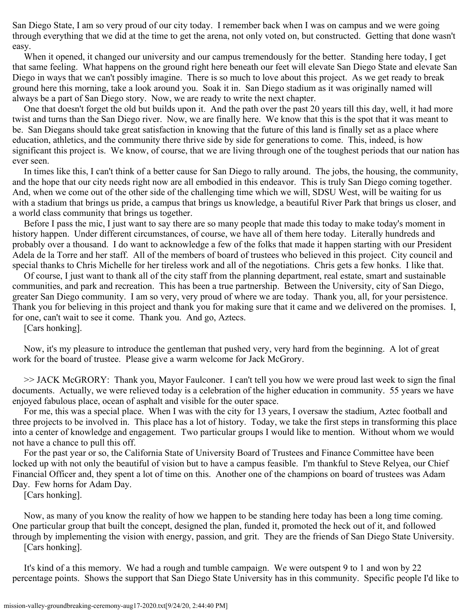San Diego State, I am so very proud of our city today. I remember back when I was on campus and we were going through everything that we did at the time to get the arena, not only voted on, but constructed. Getting that done wasn't easy.

When it opened, it changed our university and our campus tremendously for the better. Standing here today, I get that same feeling. What happens on the ground right here beneath our feet will elevate San Diego State and elevate San Diego in ways that we can't possibly imagine. There is so much to love about this project. As we get ready to break ground here this morning, take a look around you. Soak it in. San Diego stadium as it was originally named will always be a part of San Diego story. Now, we are ready to write the next chapter.

One that doesn't forget the old but builds upon it. And the path over the past 20 years till this day, well, it had more twist and turns than the San Diego river. Now, we are finally here. We know that this is the spot that it was meant to be. San Diegans should take great satisfaction in knowing that the future of this land is finally set as a place where education, athletics, and the community there thrive side by side for generations to come. This, indeed, is how significant this project is. We know, of course, that we are living through one of the toughest periods that our nation has ever seen.

 and the hope that our city needs right now are all embodied in this endeavor. This is truly San Diego coming together. In times like this, I can't think of a better cause for San Diego to rally around. The jobs, the housing, the community, And, when we come out of the other side of the challenging time which we will, SDSU West, will be waiting for us with a stadium that brings us pride, a campus that brings us knowledge, a beautiful River Park that brings us closer, and a world class community that brings us together.

Before I pass the mic, I just want to say there are so many people that made this today to make today's moment in history happen. Under different circumstances, of course, we have all of them here today. Literally hundreds and probably over a thousand. I do want to acknowledge a few of the folks that made it happen starting with our President Adela de la Torre and her staff. All of the members of board of trustees who believed in this project. City council and special thanks to Chris Michelle for her tireless work and all of the negotiations. Chris gets a few honks. I like that.

greater San Diego community. I am so very, very proud of where we are today. Thank you, all, for your persistence. Of course, I just want to thank all of the city staff from the planning department, real estate, smart and sustainable communities, and park and recreation. This has been a true partnership. Between the University, city of San Diego, Thank you for believing in this project and thank you for making sure that it came and we delivered on the promises. I, for one, can't wait to see it come. Thank you. And go, Aztecs.

[Cars honking].

Now, it's my pleasure to introduce the gentleman that pushed very, very hard from the beginning. A lot of great work for the board of trustee. Please give a warm welcome for Jack McGrory.

>> JACK McGRORY: Thank you, Mayor Faulconer. I can't tell you how we were proud last week to sign the final documents. Actually, we were relieved today is a celebration of the higher education in community. 55 years we have enjoyed fabulous place, ocean of asphalt and visible for the outer space.

For me, this was a special place. When I was with the city for 13 years, I oversaw the stadium, Aztec football and three projects to be involved in. This place has a lot of history. Today, we take the first steps in transforming this place into a center of knowledge and engagement. Two particular groups I would like to mention. Without whom we would not have a chance to pull this off.

For the past year or so, the California State of University Board of Trustees and Finance Committee have been locked up with not only the beautiful of vision but to have a campus feasible. I'm thankful to Steve Relyea, our Chief Financial Officer and, they spent a lot of time on this. Another one of the champions on board of trustees was Adam Day. Few horns for Adam Day.

[Cars honking].

Now, as many of you know the reality of how we happen to be standing here today has been a long time coming. One particular group that built the concept, designed the plan, funded it, promoted the heck out of it, and followed through by implementing the vision with energy, passion, and grit. They are the friends of San Diego State University. [Cars honking].

It's kind of a this memory. We had a rough and tumble campaign. We were outspent 9 to 1 and won by 22 percentage points. Shows the support that San Diego State University has in this community. Specific people I'd like to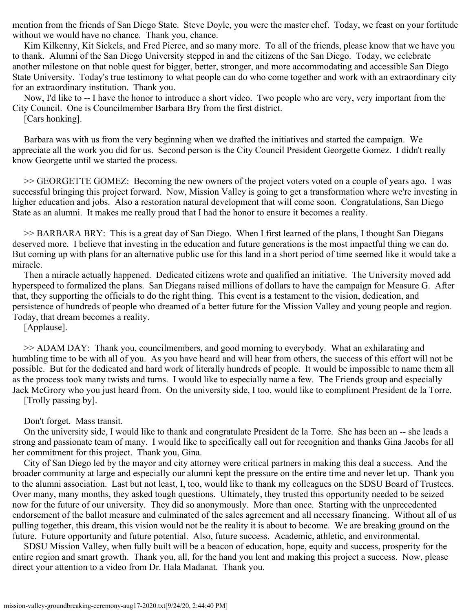mention from the friends of San Diego State. Steve Doyle, you were the master chef. Today, we feast on your fortitude without we would have no chance. Thank you, chance.

Kim Kilkenny, Kit Sickels, and Fred Pierce, and so many more. To all of the friends, please know that we have you to thank. Alumni of the San Diego University stepped in and the citizens of the San Diego. Today, we celebrate another milestone on that noble quest for bigger, better, stronger, and more accommodating and accessible San Diego State University. Today's true testimony to what people can do who come together and work with an extraordinary city for an extraordinary institution. Thank you.

Now, I'd like to -- I have the honor to introduce a short video. Two people who are very, very important from the City Council. One is Councilmember Barbara Bry from the first district.

[Cars honking].

Barbara was with us from the very beginning when we drafted the initiatives and started the campaign. We appreciate all the work you did for us. Second person is the City Council President Georgette Gomez. I didn't really know Georgette until we started the process.

>> GEORGETTE GOMEZ: Becoming the new owners of the project voters voted on a couple of years ago. I was successful bringing this project forward. Now, Mission Valley is going to get a transformation where we're investing in higher education and jobs. Also a restoration natural development that will come soon. Congratulations, San Diego State as an alumni. It makes me really proud that I had the honor to ensure it becomes a reality.

deserved more. I believe that investing in the education and future generations is the most impactful thing we can do. >> BARBARA BRY: This is a great day of San Diego. When I first learned of the plans, I thought San Diegans But coming up with plans for an alternative public use for this land in a short period of time seemed like it would take a miracle.

 persistence of hundreds of people who dreamed of a better future for the Mission Valley and young people and region. Today, that dream becomes a reality. Then a miracle actually happened. Dedicated citizens wrote and qualified an initiative. The University moved add hyperspeed to formalized the plans. San Diegans raised millions of dollars to have the campaign for Measure G. After that, they supporting the officials to do the right thing. This event is a testament to the vision, dedication, and

[Applause].

>> ADAM DAY: Thank you, councilmembers, and good morning to everybody. What an exhilarating and humbling time to be with all of you. As you have heard and will hear from others, the success of this effort will not be possible. But for the dedicated and hard work of literally hundreds of people. It would be impossible to name them all as the process took many twists and turns. I would like to especially name a few. The Friends group and especially Jack McGrory who you just heard from. On the university side, I too, would like to compliment President de la Torre. [Trolly passing by].

Don't forget. Mass transit.

On the university side, I would like to thank and congratulate President de la Torre. She has been an -- she leads a strong and passionate team of many. I would like to specifically call out for recognition and thanks Gina Jacobs for all her commitment for this project. Thank you, Gina.

to the alumni association. Last but not least, I, too, would like to thank my colleagues on the SDSU Board of Trustees.<br>Over many, many months, they asked tough questions. Ultimately, they trusted this opportunity needed t City of San Diego led by the mayor and city attorney were critical partners in making this deal a success. And the broader community at large and especially our alumni kept the pressure on the entire time and never let up. Thank you now for the future of our university. They did so anonymously. More than once. Starting with the unprecedented endorsement of the ballot measure and culminated of the sales agreement and all necessary financing. Without all of us pulling together, this dream, this vision would not be the reality it is about to become. We are breaking ground on the future. Future opportunity and future potential. Also, future success. Academic, athletic, and environmental.

SDSU Mission Valley, when fully built will be a beacon of education, hope, equity and success, prosperity for the entire region and smart growth. Thank you, all, for the hand you lent and making this project a success. Now, please direct your attention to a video from Dr. Hala Madanat. Thank you.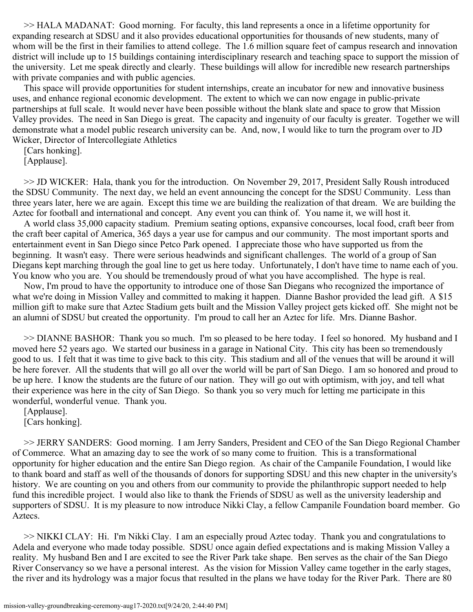>> HALA MADANAT: Good morning. For faculty, this land represents a once in a lifetime opportunity for expanding research at SDSU and it also provides educational opportunities for thousands of new students, many of whom will be the first in their families to attend college. The 1.6 million square feet of campus research and innovation district will include up to 15 buildings containing interdisciplinary research and teaching space to support the mission of the university. Let me speak directly and clearly. These buildings will allow for incredible new research partnerships with private companies and with public agencies.

This space will provide opportunities for student internships, create an incubator for new and innovative business uses, and enhance regional economic development. The extent to which we can now engage in public-private partnerships at full scale. It would never have been possible without the blank slate and space to grow that Mission Valley provides. The need in San Diego is great. The capacity and ingenuity of our faculty is greater. Together we will demonstrate what a model public research university can be. And, now, I would like to turn the program over to JD Wicker, Director of Intercollegiate Athletics

[Cars honking].

[Applause].

>> JD WICKER: Hala, thank you for the introduction. On November 29, 2017, President Sally Roush introduced the SDSU Community. The next day, we held an event announcing the concept for the SDSU Community. Less than three years later, here we are again. Except this time we are building the realization of that dream. We are building the Aztec for football and international and concept. Any event you can think of. You name it, we will host it.

Diegans kept marching through the goal line to get us here today. Unfortunately, I don't have time to name each of you. A world class 35,000 capacity stadium. Premium seating options, expansive concourses, local food, craft beer from the craft beer capital of America, 365 days a year use for campus and our community. The most important sports and entertainment event in San Diego since Petco Park opened. I appreciate those who have supported us from the beginning. It wasn't easy. There were serious headwinds and significant challenges. The world of a group of San You know who you are. You should be tremendously proud of what you have accomplished. The hype is real.

Now, I'm proud to have the opportunity to introduce one of those San Diegans who recognized the importance of what we're doing in Mission Valley and committed to making it happen. Dianne Bashor provided the lead gift. A \$15 million gift to make sure that Aztec Stadium gets built and the Mission Valley project gets kicked off. She might not be an alumni of SDSU but created the opportunity. I'm proud to call her an Aztec for life. Mrs. Dianne Bashor.

>> DIANNE BASHOR: Thank you so much. I'm so pleased to be here today. I feel so honored. My husband and I moved here 52 years ago. We started our business in a garage in National City. This city has been so tremendously good to us. I felt that it was time to give back to this city. This stadium and all of the venues that will be around it will be here forever. All the students that will go all over the world will be part of San Diego. I am so honored and proud to be up here. I know the students are the future of our nation. They will go out with optimism, with joy, and tell what their experience was here in the city of San Diego. So thank you so very much for letting me participate in this wonderful, wonderful venue. Thank you.

[Applause].

[Cars honking].

>> JERRY SANDERS: Good morning. I am Jerry Sanders, President and CEO of the San Diego Regional Chamber of Commerce. What an amazing day to see the work of so many come to fruition. This is a transformational opportunity for higher education and the entire San Diego region. As chair of the Campanile Foundation, I would like to thank board and staff as well of the thousands of donors for supporting SDSU and this new chapter in the university's history. We are counting on you and others from our community to provide the philanthropic support needed to help fund this incredible project. I would also like to thank the Friends of SDSU as well as the university leadership and supporters of SDSU. It is my pleasure to now introduce Nikki Clay, a fellow Campanile Foundation board member. Go Aztecs.

>> NIKKI CLAY: Hi. I'm Nikki Clay. I am an especially proud Aztec today. Thank you and congratulations to Adela and everyone who made today possible. SDSU once again defied expectations and is making Mission Valley a reality. My husband Ben and I are excited to see the River Park take shape. Ben serves as the chair of the San Diego River Conservancy so we have a personal interest. As the vision for Mission Valley came together in the early stages, the river and its hydrology was a major focus that resulted in the plans we have today for the River Park. There are 80